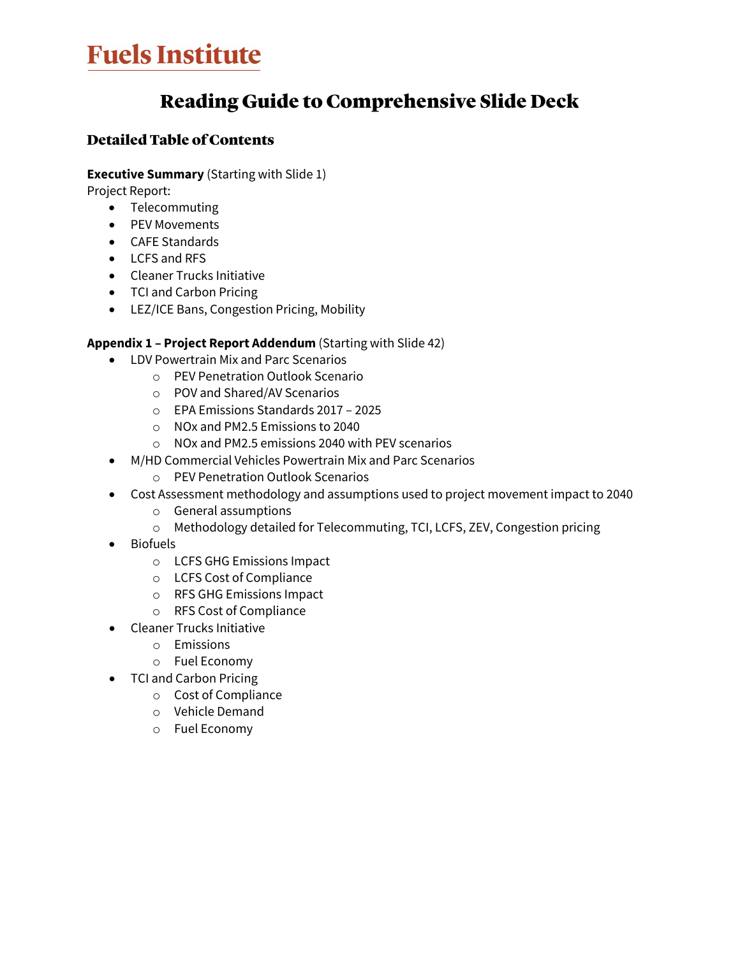# **Fuels Institute**

## Reading Guide to Comprehensive Slide Deck

### Detailed Table of Contents

#### **Executive Summary** (Starting with Slide 1)

Project Report:

- Telecommuting
- PEV Movements
- CAFE Standards
- LCFS and RFS
- Cleaner Trucks Initiative
- TCI and Carbon Pricing
- LEZ/ICE Bans, Congestion Pricing, Mobility

#### **Appendix 1 – Project Report Addendum** (Starting with Slide 42)

- LDV Powertrain Mix and Parc Scenarios
	- o PEV Penetration Outlook Scenario
	- o POV and Shared/AV Scenarios
	- o EPA Emissions Standards 2017 2025
	- o NOx and PM2.5 Emissions to 2040
	- o NOx and PM2.5 emissions 2040 with PEV scenarios
- M/HD Commercial Vehicles Powertrain Mix and Parc Scenarios
	- o PEV Penetration Outlook Scenarios
- Cost Assessment methodology and assumptions used to project movement impact to 2040
	- o General assumptions
	- o Methodology detailed for Telecommuting, TCI, LCFS, ZEV, Congestion pricing
- Biofuels
	- o LCFS GHG Emissions Impact
	- o LCFS Cost of Compliance
	- o RFS GHG Emissions Impact
	- o RFS Cost of Compliance
- Cleaner Trucks Initiative
	- o Emissions
	- o Fuel Economy
- TCI and Carbon Pricing
	- o Cost of Compliance
	- o Vehicle Demand
	- o Fuel Economy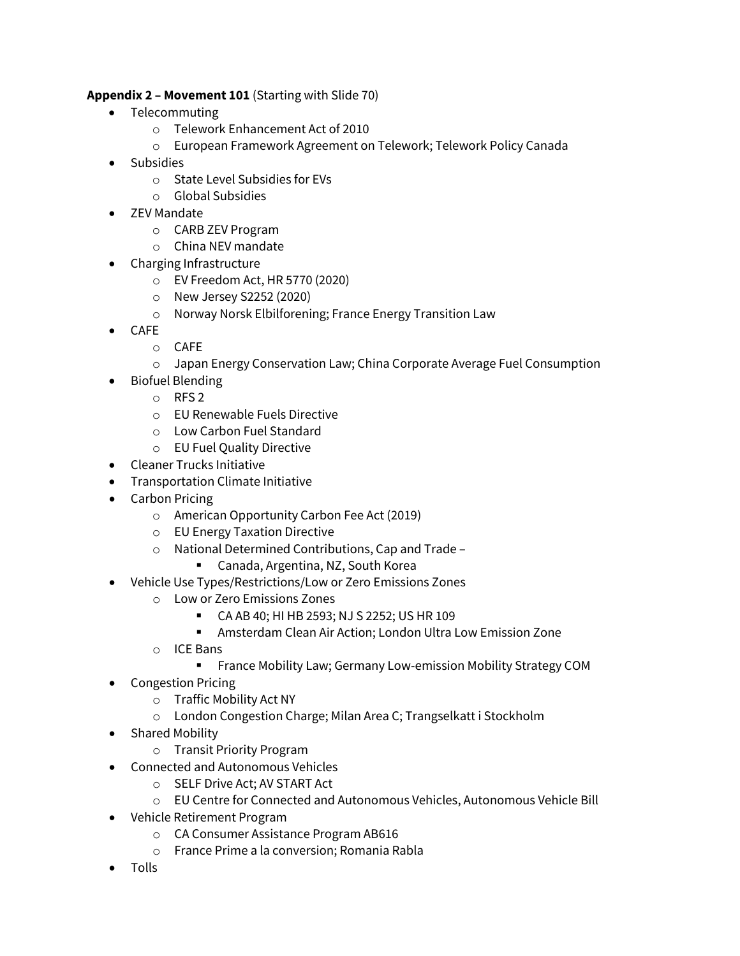#### **Appendix 2 – Movement 101** (Starting with Slide 70)

- Telecommuting
	- o Telework Enhancement Act of 2010
	- o European Framework Agreement on Telework; Telework Policy Canada
- Subsidies
	- o State Level Subsidies for EVs
	- o Global Subsidies
- ZEV Mandate
	- o CARB ZEV Program
	- o China NEV mandate
- Charging Infrastructure
	- o EV Freedom Act, HR 5770 (2020)
	- o New Jersey S2252 (2020)
	- o Norway Norsk Elbilforening; France Energy Transition Law
- CAFE
	- o CAFE
	- o Japan Energy Conservation Law; China Corporate Average Fuel Consumption
- Biofuel Blending
	- o RFS 2
	- o EU Renewable Fuels Directive
	- o Low Carbon Fuel Standard
	- o EU Fuel Quality Directive
- Cleaner Trucks Initiative
- Transportation Climate Initiative
- Carbon Pricing
	- o American Opportunity Carbon Fee Act (2019)
	- o EU Energy Taxation Directive
	- o National Determined Contributions, Cap and Trade
		- Canada, Argentina, NZ, South Korea
- Vehicle Use Types/Restrictions/Low or Zero Emissions Zones
	- o Low or Zero Emissions Zones
		- CA AB 40; HI HB 2593; NJ S 2252; US HR 109
		- Amsterdam Clean Air Action; London Ultra Low Emission Zone
	- o ICE Bans
		- **France Mobility Law; Germany Low-emission Mobility Strategy COM**
- Congestion Pricing
	- o Traffic Mobility Act NY
	- o London Congestion Charge; Milan Area C; Trangselkatt i Stockholm
- Shared Mobility
	- o Transit Priority Program
- Connected and Autonomous Vehicles
	- o SELF Drive Act; AV START Act
	- o EU Centre for Connected and Autonomous Vehicles, Autonomous Vehicle Bill
- Vehicle Retirement Program
	- o CA Consumer Assistance Program AB616
	- o France Prime a la conversion; Romania Rabla
- Tolls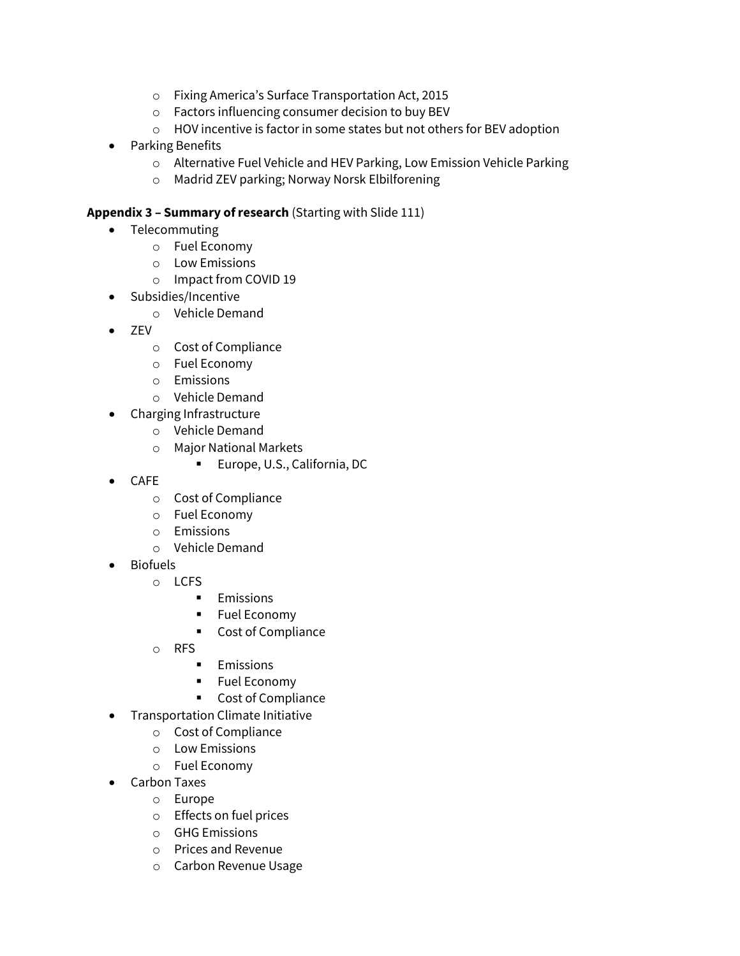- o Fixing America's Surface Transportation Act, 2015
- o Factors influencing consumer decision to buy BEV
- o HOV incentive is factor in some states but not others for BEV adoption
- Parking Benefits
	- o Alternative Fuel Vehicle and HEV Parking, Low Emission Vehicle Parking
	- o Madrid ZEV parking; Norway Norsk Elbilforening

#### **Appendix 3 – Summary of research** (Starting with Slide 111)

- Telecommuting
	- o Fuel Economy
	- o Low Emissions
	- o Impact from COVID 19
- Subsidies/Incentive
	- o Vehicle Demand
- ZEV
	- o Cost of Compliance
	- o Fuel Economy
	- o Emissions
	- o Vehicle Demand
	- Charging Infrastructure
		- o Vehicle Demand
		- o Major National Markets
			- **Europe, U.S., California, DC**
- CAFE
	- o Cost of Compliance
	- o Fuel Economy
	- o Emissions
	- o Vehicle Demand
- **Biofuels** 
	- o LCFS
		- **Emissions**
		- **Fuel Economy**
		- Cost of Compliance
	- o RFS
		- **Emissions**
		- **Fuel Economy**
		- Cost of Compliance
	- Transportation Climate Initiative
		- o Cost of Compliance
		- o Low Emissions
		- o Fuel Economy
- Carbon Taxes
	- o Europe
	- o Effects on fuel prices
	- o GHG Emissions
	- o Prices and Revenue
	- o Carbon Revenue Usage